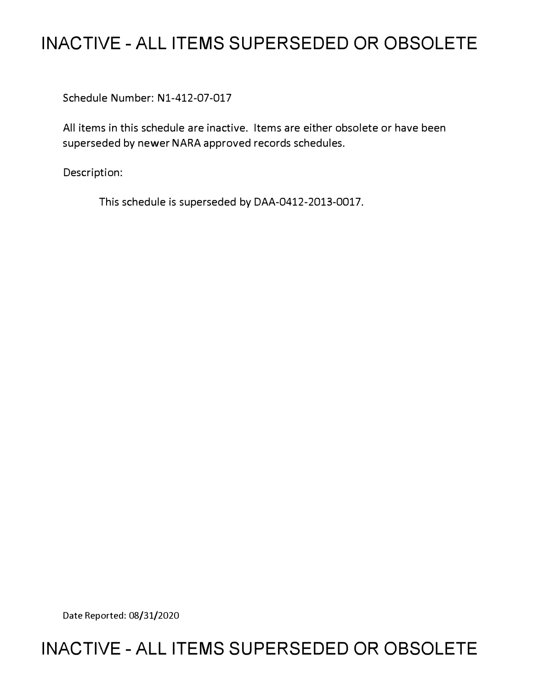# **INACTIVE - ALL ITEMS SUPERSEDED OR OBSOLETE**

Schedule Number: Nl-412-07-017

All items in this schedule are inactive. Items are either obsolete or have been superseded by newer NARA approved records schedules.

Description:

This schedule is superseded by DAA-0412-2013-0017.

Date Reported: 08/31/2020

# **INACTIVE - ALL ITEMS SUPERSEDED OR OBSOLETE**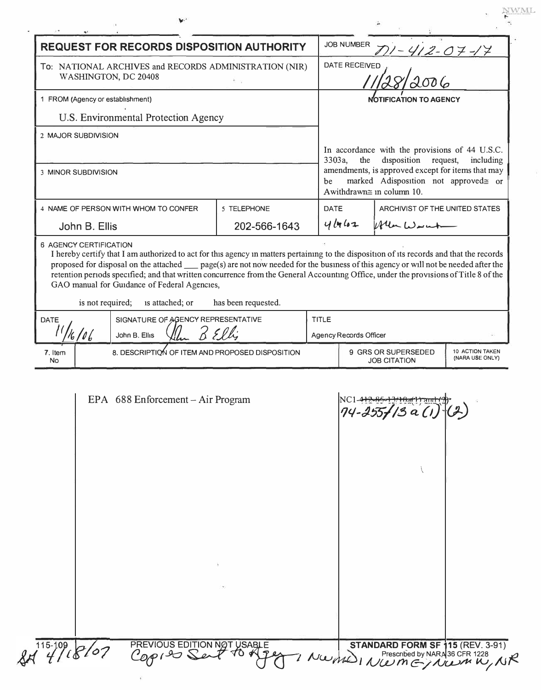|                                                                                | <b>REQUEST FOR RECORDS DISPOSITION AUTHORITY</b>                                                                                                                                                                                                                                                                                                                                                                                                                                               |                     | <b>JOB NUMBER</b>                                                                                                                                                                                                                       |                                            |                                    |
|--------------------------------------------------------------------------------|------------------------------------------------------------------------------------------------------------------------------------------------------------------------------------------------------------------------------------------------------------------------------------------------------------------------------------------------------------------------------------------------------------------------------------------------------------------------------------------------|---------------------|-----------------------------------------------------------------------------------------------------------------------------------------------------------------------------------------------------------------------------------------|--------------------------------------------|------------------------------------|
| To: NATIONAL ARCHIVES and RECORDS ADMINISTRATION (NIR)<br>WASHINGTON, DC 20408 |                                                                                                                                                                                                                                                                                                                                                                                                                                                                                                |                     | $1 - 412 - 07 - 17$<br><b>DATE RECEIVED</b>                                                                                                                                                                                             |                                            |                                    |
|                                                                                |                                                                                                                                                                                                                                                                                                                                                                                                                                                                                                |                     |                                                                                                                                                                                                                                         |                                            |                                    |
| 1 FROM (Agency or establishment)                                               |                                                                                                                                                                                                                                                                                                                                                                                                                                                                                                |                     | <b>NOTIFICATION TO AGENCY</b>                                                                                                                                                                                                           |                                            |                                    |
|                                                                                | U.S. Environmental Protection Agency                                                                                                                                                                                                                                                                                                                                                                                                                                                           |                     |                                                                                                                                                                                                                                         |                                            |                                    |
| 2 MAJOR SUBDIVISION                                                            |                                                                                                                                                                                                                                                                                                                                                                                                                                                                                                |                     |                                                                                                                                                                                                                                         |                                            |                                    |
|                                                                                |                                                                                                                                                                                                                                                                                                                                                                                                                                                                                                |                     | In accordance with the provisions of 44 U.S.C.<br>the<br>disposition<br>request,<br>3303a,<br>including<br>amendments, is approved except for items that may<br>marked Adisposition not approved= or<br>be<br>Awithdrawn≅ in column 10. |                                            |                                    |
| 3 MINOR SUBDIVISION                                                            |                                                                                                                                                                                                                                                                                                                                                                                                                                                                                                |                     |                                                                                                                                                                                                                                         |                                            |                                    |
|                                                                                | 4 NAME OF PERSON WITH WHOM TO CONFER                                                                                                                                                                                                                                                                                                                                                                                                                                                           | 5 TELEPHONE         | <b>DATE</b>                                                                                                                                                                                                                             | ARCHIVIST OF THE UNITED STATES             |                                    |
| John B. Ellis                                                                  |                                                                                                                                                                                                                                                                                                                                                                                                                                                                                                | 202-566-1643        | 4462                                                                                                                                                                                                                                    | When Wright                                |                                    |
| is not required;                                                               | I hereby certify that I am authorized to act for this agency in matters pertaining to the disposition of its records and that the records<br>proposed for disposal on the attached _____ page(s) are not now needed for the business of this agency or will not be needed after the<br>retention periods specified; and that written concurrence from the General Accounting Office, under the provisions of Title 8 of the<br>GAO manual for Guidance of Federal Agencies,<br>is attached; or | has been requested. |                                                                                                                                                                                                                                         |                                            |                                    |
| 6 AGENCY CERTIFICATION<br><b>DATE</b>                                          | SIGNATURE OF AGENCY REPRESENTATIVE                                                                                                                                                                                                                                                                                                                                                                                                                                                             |                     | TITLE                                                                                                                                                                                                                                   |                                            |                                    |
| 6/06                                                                           | John B. Ellis                                                                                                                                                                                                                                                                                                                                                                                                                                                                                  | 2 El Li             | Agency Records Officer                                                                                                                                                                                                                  |                                            |                                    |
| 7. Item<br><b>No</b>                                                           | 8. DESCRIPTION OF ITEM AND PROPOSED DISPOSITION                                                                                                                                                                                                                                                                                                                                                                                                                                                |                     |                                                                                                                                                                                                                                         | 9 GRS OR SUPERSEDED<br><b>JOB CITATION</b> | 10 ACTION TAKEN<br>(NARA USE ONLY) |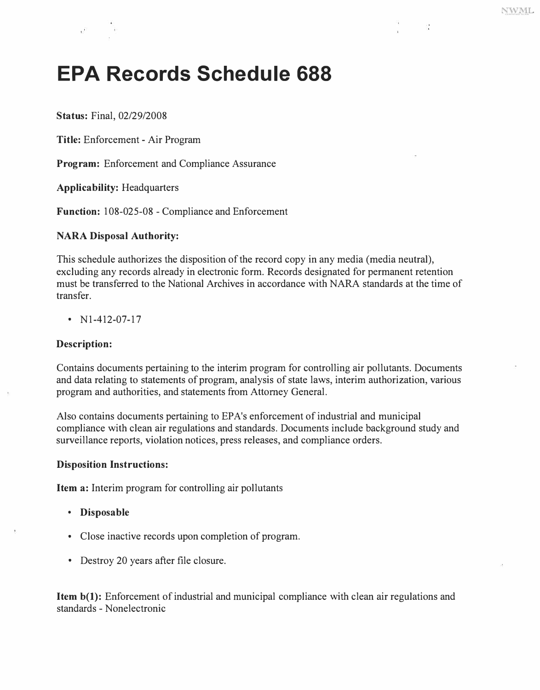# **EPA Records Schedule 688**

**Status:** Final, 02/29/2008

**Title:** Enforcement - Air Program

**Program:** Enforcement and Compliance Assurance

**Applicability:** Headquarters

**Function:** 108-025-08 - Compliance and Enforcement

#### **NARA Disposal Authority:**

This schedule authorizes the disposition of the record copy in any media (media neutral), excluding any records already in electronic form. Records designated for permanent retention must be transferred to the National Archives in accordance with NARA standards at the time of transfer.

•  $N1-412-07-17$ 

#### **Description:**

Contains documents pertaining to the interim program for controlling air pollutants. Documents and data relating to statements of program, analysis of state laws, interim authorization, various program and authorities, and statements from Attorney General.

Also contains documents pertaining to EP A's enforcement of industrial and municipal compliance with clean air regulations and standards. Documents include background study and surveillance reports, violation notices, press releases, and compliance orders.

#### **Disposition Instructions:**

**Item a:** Interim program for controlling air pollutants

- **Disposable**
- Close inactive records upon completion of program.
- Destroy 20 years after file closure.

**Item b(1):** Enforcement of industrial and municipal compliance with clean air regulations and standards - Nonelectronic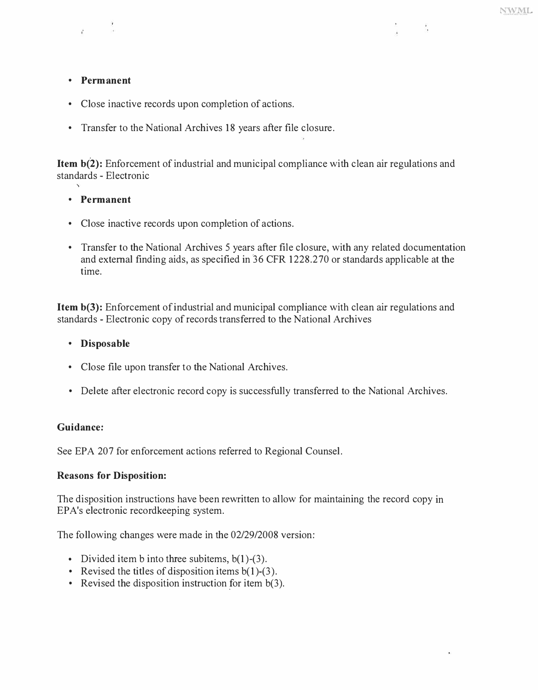### **• Permanent**

- **Close inactive records upon completion of actions.**
- **Transfer to the National Archives 18 years after file closure.**

**Item b(2): Enforcement of industrial and municipal compliance with clean air regulations and standards - Electronic** 

#### **• Permanent**

- **Close inactive records upon completion of actions.**
- **Transfer to the National Archives 5 years after file closure, with any related documentation and external finding aids, as specified in '36 CFR 1228 .270 or standards applicable at the time.**

**Item b(3): Enforcement of industrial and municipal compliance with clean air regulations and standards - Electronic copy of records transferred to the National Archives** 

#### **• Disposable**

- **Close file upon transfer to the National Archives.**
- **Delete after electronic record copy is successfully transferred to the National Archives.**

#### **Guidance:**

**See EPA 207 for enforcement actions referred to Regional Counsel.** 

## **Reasons for Disposition:**

**The disposition instructions have been rewritten to allow for maintaining the record copy in EP A's electronic recordkeeping system.** 

**The following changes were made in the 02/29/2008 version:** 

- 
- Divided item b into three subitems, b(1)-(3).<br>• Revised the titles of disposition items b(1)-(3).<br>• Revised the disposition instruction for item b(3).
-